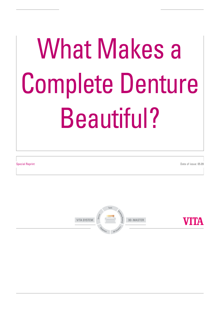# What Makes a Complete Denture Beautiful?

Special Reprint Date of issue: 05.09

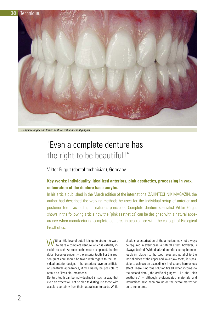

*Complete upper and lower denture with individual gingiva*

# "Even a complete denture has the right to be beautiful!"

Viktor Fürgut (dental technician), Germany

### **Key words: Individuality, idealized anteriors, pink aesthetics, processing in wax, colouration of the denture base acrylic.**

In his article published in the March edition of the international ZAHNTECHNIK MAGAZIN, the author had described the working methods he uses for the individual setup of anterior and posterior teeth according to nature's principles. Complete denture specialist Viktor Fürgut shows in the following article how the "pink aesthetics" can be designed with a natural appearance when manufacturing complete dentures in accordance with the concept of Biological Prosthetics.

I ith a little love of detail it is quite straightforward to make a complete denture which is virtually invisible as such. As soon as the mouth is opened, the first detail becomes evident – the anterior teeth. For this reason great care should be taken with regard to the individual anterior design. If the anteriors have an artificial or unnatural appearance, it will hardly be possible to obtain an "invisible" prosthesis.

Denture teeth can be individualized in such a way that even an expert will not be able to distinguish these with absolute certainty from their natural counterparts. While

shade characterisation of the anteriors may not always be required in every case, a natural effect, however, is always desired. With idealized anteriors set up harmoniously in relation to the tooth axes and parallel to the incisal edges of the upper and lower jaw teeth, it is possible to achieve an exceedingly lifelike and harmonious effect. There is no 'one solution fits all' when it comes to the second detail, the artificial gingiva  $-$  i.e. the "pink" aesthetics" – although prefabricated materials and instructions have been around on the dental market for quite some time.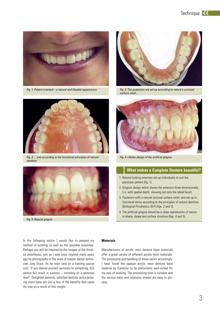

*Fig. 1: Patient oriented – a natural and likeable appearance*



Fig. 3: ... and according to the functional principles of natural Fig. 4: Lifelike design of the artificial gingiva *dentition*



*Fig. 5: Natural gingiva*



*Fig. 2: The posteriors are set up according to nature's occlusal surface relief...*



#### **What makes a Complete Denture beautiful?**

- 1. Natural-looking anteriors set up individually to suit the particular patient (fig. 1).
- 2. Gingival design which shows the anteriors three-dimensionally (i.e. with spatial depth, showing not only the labial facet).
- 3. Posteriors with a natural occlusal surface relief, and set up in functional terms according to the principles of natural dentition (Biological Prosthetics, BLP) (figs. 2 and 3).
- 4. The artificial gingiva should be a close reproduction of nature in shade, shape and surface structure (figs. 4 and 5).

In the following article I would like to present my method of working as well as the possible outcomes. Perhaps you will be inspired by the images of the finished prostheses, just as I was once inspired many years ago by photographs of the work of master dental technician Jürg Stuck. As he once said on a training course visit: "If you devote yourself seriously to something, this cannot but result in success – including on a personal level". Delighted patients, satisfied dentists and a growing client base are just a few of the benefits that came my way as a result of this insight.

#### **Materials**

Manufacturers of acrylic resin denture base materials offer a great variety of different acrylic resin materials. The processing and handling of these varies accordingly. I have found the opaque acrylic resin denture base material by Candulor to be particularly well-suited for my way of working. The processing time is suitable and the various basic and intensive shades are easy to process.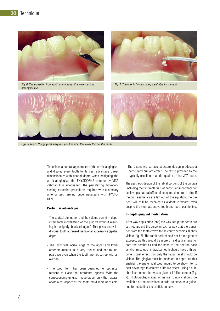



Fig. 6: The transition from tooth crown to tooth cervix must be Fig. 7: The wax is formed using a suitable instrument *clearly visible*



*Figs. 8 and 9: The gingival margin is positioned in the lower third of the tooth*



#### **Particular advantages:**

- The sagittal elongation and the volume permit in-depth interdental modellation of the gingiva without resulting in unsightly 'black triangles'. This gives every individual tooth a three-dimensional appearance (spatial depth).
- The individual incisal edge of the upper and lower anteriors results in a very lifelike and natural appearance even when the teeth are not set up with an overlap.
- The tooth form has been designed for technical reasons to close the interdental spaces. With the corresponding gingival modellation, only the natural, anatomical aspect of the tooth mold remains visible.



- The distinctive surface structure design produces a particularly brilliant effect. The rest is provided by the typically excellent material quality of the VITA teeth.

The aesthetic design of the labial portions of the gingiva (including the first molars) is of particular importance for achieving a natural effect of complete dentures in situ. If the pink aesthetics are left out of the equation, the patient will still be revealed as a denture wearer even despite the most attractive teeth and tooth positioning.

#### **In-depth gingival modellation**

After wax application (and) the wax setup, the teeth are cut free around the cervix in such a way that the transition from the tooth crown to the cervix becomes slightly visible (fig. 6). The tooth neck should not be too greatly exposed, as this would be more of a disadvantage for both the aesthetics and the bond to the denture base acrylic. Since each individual tooth should have a threedimensional effect, not only the labial facet should be visible. The gingiva must be modeled in depth, as this enables the anatomical tooth mould to be shown to its best advantage to achieve a lifelike effect. Using a suitable instrument, the wax is given a lifelike contour (fig. 7). Photographs/images of natural gingiva should be available at the workplace in order to serve as a guideline for modelling the artificial gingiva.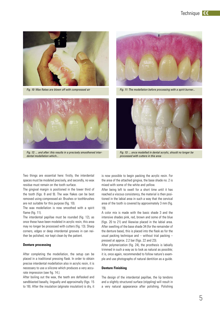



*Fig. 12: ... and after: this results in a precisely smoothened interdental modellation which...*



Fig. 11: The modellation before processing with a spirit burner... (Fig. 11: The modellation before processing with a spirit burner...



*Fig. 13: ... once modelled in dental acrylic, should no longer be processed with cutters in this area*

Two things are essential here: firstly, the interdental spaces must be modeled precisely, and secondly, no wax residue must remain on the tooth surface.

The gingival margin is positioned in the lower third of the tooth (figs. 8 and 9). The wax flakes can be best removed using compressed air. Brushes or toothbrushes are not suitable for this purpose (fig. 10).

The wax modellation is now smoothed with a spirit flame (fig. 11).

The interdental papillae must be rounded (fig. 12), as once these have been modeled in acrylic resin, this area may no longer be processed with cutters (fig. 13). Sharp corners, edges or deep interdental grooves in can neither be polished, nor kept clean by the patient.

#### **Denture processing**

After completing the modellation, the setup can be placed in a traditional pressing flask. In order to obtain precise interdental modellation also in acrylic resin, it is necessary to use a silicone which produces a very accurate impression (see fig. 14.).

After boiling out the wax, the teeth are deflasked and sandblasted basally, lingually and approximally (figs. 15 to 18). After the insulation (alginate insulation) is dry, it is now possible to begin packing the acrylic resin. For the area of the attached gingiva, the base shade no. 2 is mixed with some of the white and yellow.

After being left to swell for a short time until it has reached a viscous consistency, the material is then positioned in the labial area in such a way that the cervical area of the tooth is covered by approximately 3 mm (fig. 19).

A color mix is made with the basic shade 3 and the intensive shades pink, red, brown and some of the blue (figs. 20 to 21) and likewise placed in the labial area. After swelling of the base shade 34 (for the remainder of the denture base), this is placed into the flask as for the usual packing technique and – without trial packing – pressed at approx. 2.2 bar (figs. 22 and 23).

After polymerization (fig. 24), the prosthesis is labially trimmed in such a way as to look as natural as possible; it is, once again, recommended to follow nature's example and use photographs of natural dentition as a guide.

#### **Denture Finishing**

The design of the interdental papillae, the lip tendons and a slightly structured surface (stippling) will result in a very natural appearance after polishing. Polishing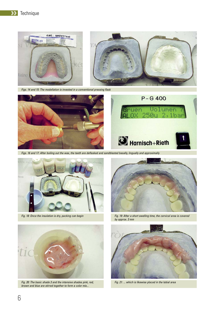

*Figs. 14 and 15: The modellation is invested in a conventional pressing flask*



Figs. 16 and 17: After boiling out the wax, the teeth are deflasked and sandblasted basally, lingually and approximally



*Fig. 18: Once the insulation is dry, packing can begin*



*Fig. 19: After a short swelling time, the cervical area is covered by approx. 3 mm*



Fig. 20: The basic shade 3 and the intensive shades pink, red, Fig. 21: ... which is likewise placed in the labial area *brown and blue are stirred together to form a color mix...*

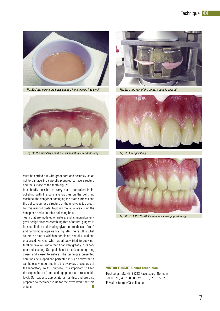

Fig. 22: After mixing the basic shade 34 and leaving it to swell Fig. 23: ... the rest of the denture base is packed



*Fig. 24: The maxillary prosthesis immediately after deflasking Fig. 25: After polishing*

must be carried out with great care and accuracy, so as not to damage the carefully prepared surface structure and the surface of the teeth (fig. 25).

It is hardly possible to carry out a controlled labial polishing with the polishing brushes on the polishing machine; the danger of damaging the tooth surfaces and the delicate surface structure of the gingiva is too great. For this reason I prefer to polish the labial area using the handpiece and a suitable polishing brush.

Teeth that are modeled on nature, and an individual gingival design closely resembling that of natural gingiva in its modellation and shading give the prosthesis a "real" and harmonious appearance (fig. 26). The result is what counts, no matter which materials are actually used and processed. Anyone who has already tried to copy natural gingiva will know that it can vary greatly in its contour and shading. Our goal should be to keep on getting closer and closer to nature. The technique presented here was developed and perfected in such a way that it can be easily integrated into the everyday procedures of the laboratory. To this purpose, it is important to keep the expenditure of time and equipment at a reasonable level. Our patients appreciate us for this, and are also prepared to recompense us for the extra work that this entails. **T** 







*Fig. 26: VITA PHYSIODENS with individual gingival design*

#### **VIKTOR FÜRGUT, Dental Technician**

Hochbergstraße 49, 88213 Ravensburg, Germany Tel. 01 71 / 4 97 58 30, Fax 07 51 / 7 91 55 62 E-Mail: v.fuergut@t-online.de